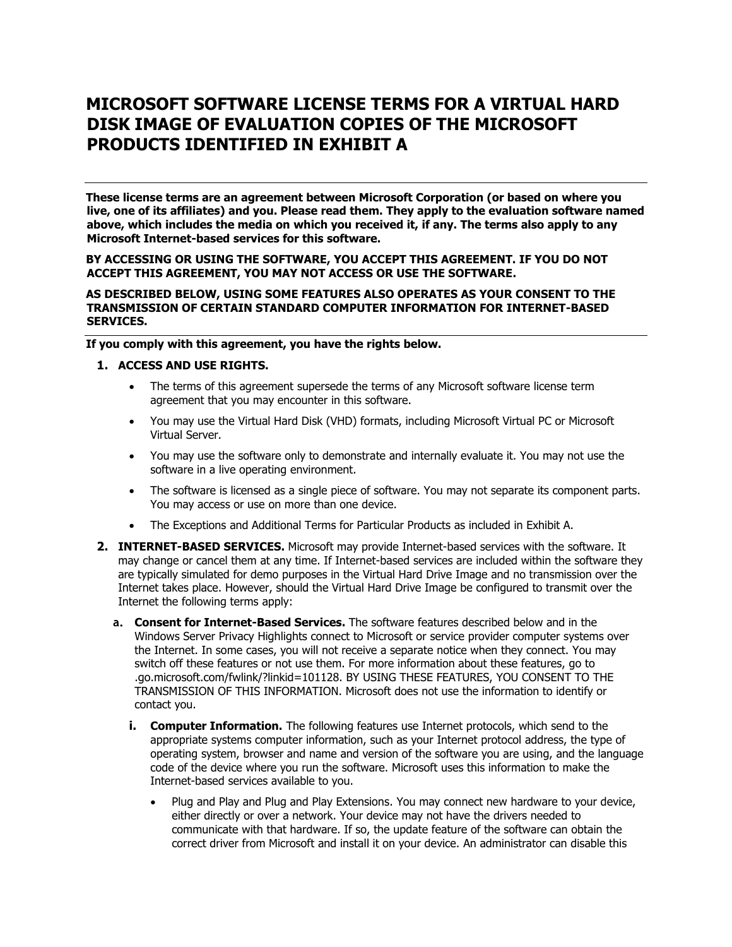# **MICROSOFT SOFTWARE LICENSE TERMS FOR A VIRTUAL HARD DISK IMAGE OF EVALUATION COPIES OF THE MICROSOFT PRODUCTS IDENTIFIED IN EXHIBIT A**

**These license terms are an agreement between Microsoft Corporation (or based on where you live, one of its affiliates) and you. Please read them. They apply to the evaluation software named above, which includes the media on which you received it, if any. The terms also apply to any Microsoft Internet-based services for this software.**

#### **BY ACCESSING OR USING THE SOFTWARE, YOU ACCEPT THIS AGREEMENT. IF YOU DO NOT ACCEPT THIS AGREEMENT, YOU MAY NOT ACCESS OR USE THE SOFTWARE.**

#### **AS DESCRIBED BELOW, USING SOME FEATURES ALSO OPERATES AS YOUR CONSENT TO THE TRANSMISSION OF CERTAIN STANDARD COMPUTER INFORMATION FOR INTERNET-BASED SERVICES.**

**If you comply with this agreement, you have the rights below.**

#### **1. ACCESS AND USE RIGHTS.**

- The terms of this agreement supersede the terms of any Microsoft software license term agreement that you may encounter in this software.
- You may use the Virtual Hard Disk (VHD) formats, including Microsoft Virtual PC or Microsoft Virtual Server.
- You may use the software only to demonstrate and internally evaluate it. You may not use the software in a live operating environment.
- The software is licensed as a single piece of software. You may not separate its component parts. You may access or use on more than one device.
- The Exceptions and Additional Terms for Particular Products as included in Exhibit A.
- **2. INTERNET-BASED SERVICES.** Microsoft may provide Internet-based services with the software. It may change or cancel them at any time. If Internet-based services are included within the software they are typically simulated for demo purposes in the Virtual Hard Drive Image and no transmission over the Internet takes place. However, should the Virtual Hard Drive Image be configured to transmit over the Internet the following terms apply:
	- **a. Consent for Internet-Based Services.** The software features described below and in the Windows Server Privacy Highlights connect to Microsoft or service provider computer systems over the Internet. In some cases, you will not receive a separate notice when they connect. You may switch off these features or not use them. For more information about these features, go to .go.microsoft.com/fwlink/?linkid=101128. BY USING THESE FEATURES, YOU CONSENT TO THE TRANSMISSION OF THIS INFORMATION. Microsoft does not use the information to identify or contact you.
		- **i. Computer Information.** The following features use Internet protocols, which send to the appropriate systems computer information, such as your Internet protocol address, the type of operating system, browser and name and version of the software you are using, and the language code of the device where you run the software. Microsoft uses this information to make the Internet-based services available to you.
			- Plug and Play and Plug and Play Extensions. You may connect new hardware to your device, either directly or over a network. Your device may not have the drivers needed to communicate with that hardware. If so, the update feature of the software can obtain the correct driver from Microsoft and install it on your device. An administrator can disable this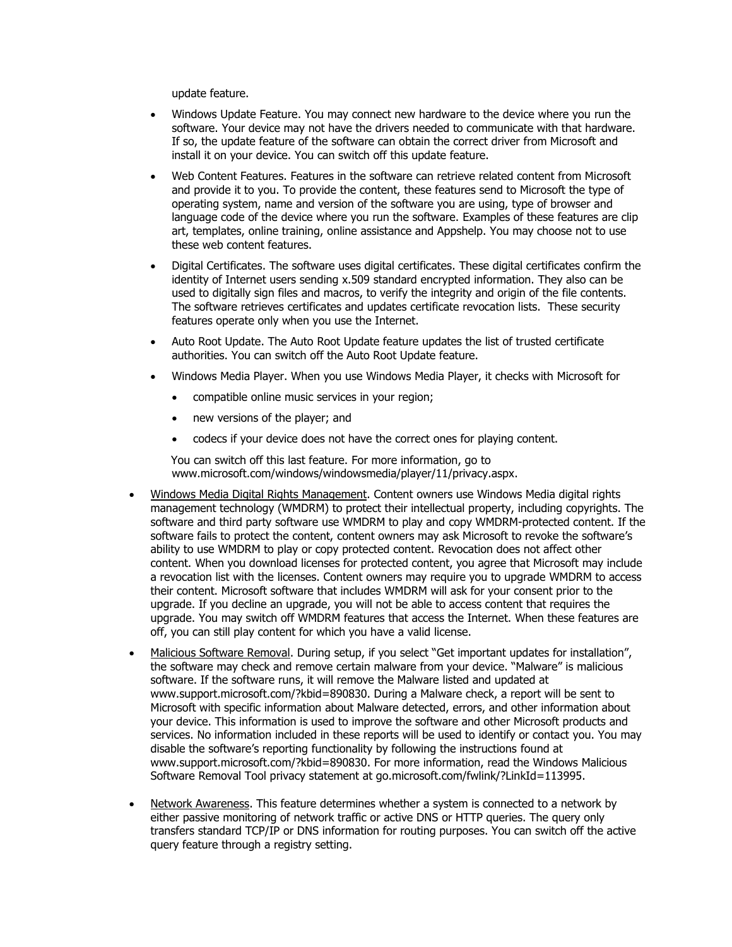update feature.

- Windows Update Feature. You may connect new hardware to the device where you run the software. Your device may not have the drivers needed to communicate with that hardware. If so, the update feature of the software can obtain the correct driver from Microsoft and install it on your device. You can switch off this update feature.
- Web Content Features. Features in the software can retrieve related content from Microsoft and provide it to you. To provide the content, these features send to Microsoft the type of operating system, name and version of the software you are using, type of browser and language code of the device where you run the software. Examples of these features are clip art, templates, online training, online assistance and Appshelp. You may choose not to use these web content features.
- Digital Certificates. The software uses digital certificates. These digital certificates confirm the identity of Internet users sending x.509 standard encrypted information. They also can be used to digitally sign files and macros, to verify the integrity and origin of the file contents. The software retrieves certificates and updates certificate revocation lists. These security features operate only when you use the Internet.
- Auto Root Update. The Auto Root Update feature updates the list of trusted certificate authorities. You can switch off the Auto Root Update feature.
- Windows Media Player. When you use Windows Media Player, it checks with Microsoft for
	- compatible online music services in your region;
	- new versions of the player; and
	- codecs if your device does not have the correct ones for playing content.

You can switch off this last feature. For more information, go to www.microsoft.com/windows/windowsmedia/player/11/privacy.aspx.

- Windows Media Digital Rights Management. Content owners use Windows Media digital rights management technology (WMDRM) to protect their intellectual property, including copyrights. The software and third party software use WMDRM to play and copy WMDRM-protected content. If the software fails to protect the content, content owners may ask Microsoft to revoke the software's ability to use WMDRM to play or copy protected content. Revocation does not affect other content. When you download licenses for protected content, you agree that Microsoft may include a revocation list with the licenses. Content owners may require you to upgrade WMDRM to access their content. Microsoft software that includes WMDRM will ask for your consent prior to the upgrade. If you decline an upgrade, you will not be able to access content that requires the upgrade. You may switch off WMDRM features that access the Internet. When these features are off, you can still play content for which you have a valid license.
- Malicious Software Removal. During setup, if you select "Get important updates for installation", the software may check and remove certain malware from your device. "Malware" is malicious software. If the software runs, it will remove the Malware listed and updated at www.support.microsoft.com/?kbid=890830. During a Malware check, a report will be sent to Microsoft with specific information about Malware detected, errors, and other information about your device. This information is used to improve the software and other Microsoft products and services. No information included in these reports will be used to identify or contact you. You may disable the software's reporting functionality by following the instructions found at www.support.microsoft.com/?kbid=890830. For more information, read the Windows Malicious Software Removal Tool privacy statement at go.microsoft.com/fwlink/?LinkId=113995.
- Network Awareness. This feature determines whether a system is connected to a network by either passive monitoring of network traffic or active DNS or HTTP queries. The query only transfers standard TCP/IP or DNS information for routing purposes. You can switch off the active query feature through a registry setting.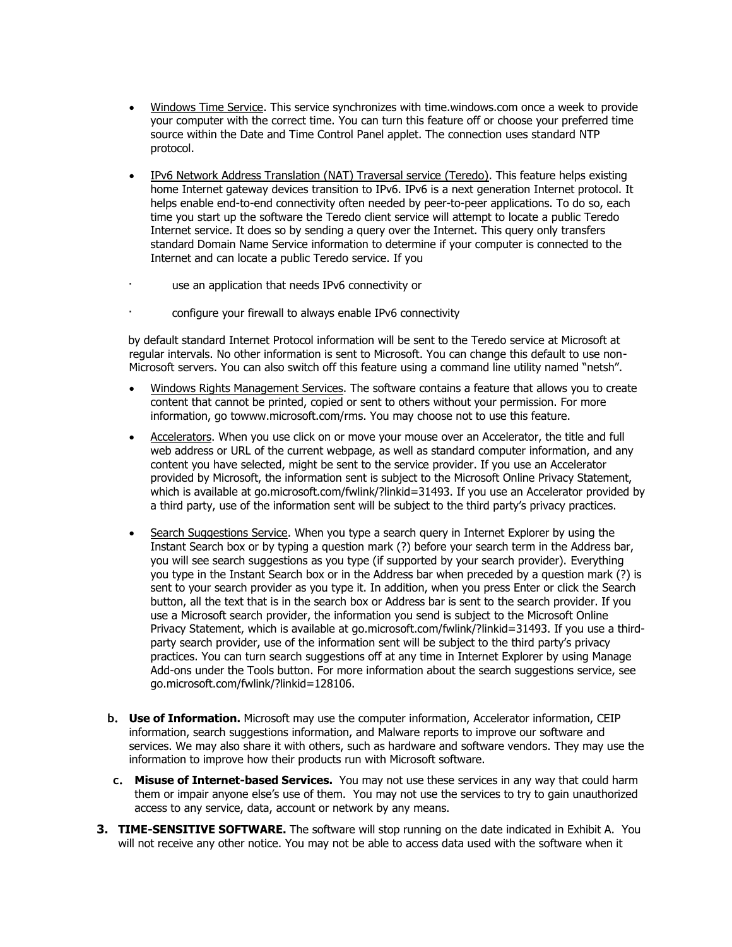- Windows Time Service. This service synchronizes with time.windows.com once a week to provide your computer with the correct time. You can turn this feature off or choose your preferred time source within the Date and Time Control Panel applet. The connection uses standard NTP protocol.
- IPv6 Network Address Translation (NAT) Traversal service (Teredo). This feature helps existing home Internet gateway devices transition to IPv6. IPv6 is a next generation Internet protocol. It helps enable end-to-end connectivity often needed by peer-to-peer applications. To do so, each time you start up the software the Teredo client service will attempt to locate a public Teredo Internet service. It does so by sending a query over the Internet. This query only transfers standard Domain Name Service information to determine if your computer is connected to the Internet and can locate a public Teredo service. If you
- use an application that needs IPv6 connectivity or
- configure your firewall to always enable IPv6 connectivity

by default standard Internet Protocol information will be sent to the Teredo service at Microsoft at regular intervals. No other information is sent to Microsoft. You can change this default to use non-Microsoft servers. You can also switch off this feature using a command line utility named "netsh".

- Windows Rights Management Services. The software contains a feature that allows you to create content that cannot be printed, copied or sent to others without your permission. For more information, go towww.microsoft.com/rms. You may choose not to use this feature.
- Accelerators. When you use click on or move your mouse over an Accelerator, the title and full web address or URL of the current webpage, as well as standard computer information, and any content you have selected, might be sent to the service provider. If you use an Accelerator provided by Microsoft, the information sent is subject to the Microsoft Online Privacy Statement, which is available at go.microsoft.com/fwlink/?linkid=31493. If you use an Accelerator provided by a third party, use of the information sent will be subject to the third party's privacy practices.
- Search Suggestions Service. When you type a search query in Internet Explorer by using the Instant Search box or by typing a question mark (?) before your search term in the Address bar, you will see search suggestions as you type (if supported by your search provider). Everything you type in the Instant Search box or in the Address bar when preceded by a question mark (?) is sent to your search provider as you type it. In addition, when you press Enter or click the Search button, all the text that is in the search box or Address bar is sent to the search provider. If you use a Microsoft search provider, the information you send is subject to the Microsoft Online Privacy Statement, which is available at go.microsoft.com/fwlink/?linkid=31493. If you use a thirdparty search provider, use of the information sent will be subject to the third party's privacy practices. You can turn search suggestions off at any time in Internet Explorer by using Manage Add-ons under the Tools button. For more information about the search suggestions service, see go.microsoft.com/fwlink/?linkid=128106.
- **b. Use of Information.** Microsoft may use the computer information, Accelerator information, CEIP information, search suggestions information, and Malware reports to improve our software and services. We may also share it with others, such as hardware and software vendors. They may use the information to improve how their products run with Microsoft software.
- **c. Misuse of Internet-based Services.** You may not use these services in any way that could harm them or impair anyone else's use of them. You may not use the services to try to gain unauthorized access to any service, data, account or network by any means.
- **3. TIME-SENSITIVE SOFTWARE.** The software will stop running on the date indicated in Exhibit A. You will not receive any other notice. You may not be able to access data used with the software when it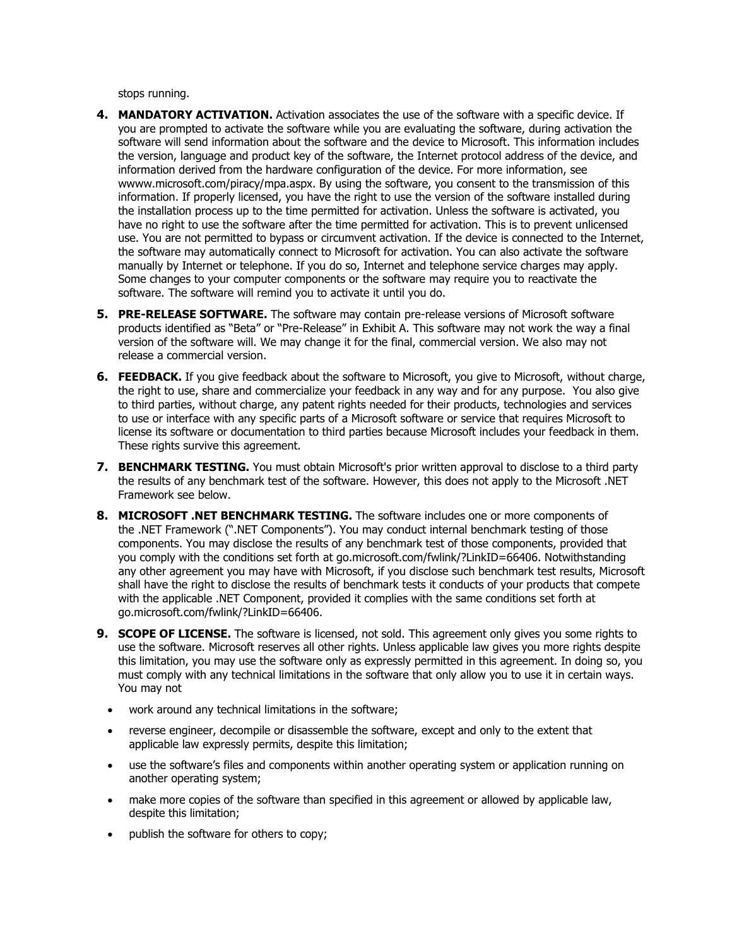stops running.

- **4. MANDATORY ACTIVATION.** Activation associates the use of the software with a specific device. If you are prompted to activate the software while you are evaluating the software, during activation the software will send information about the software and the device to Microsoft. This information includes the version, language and product key of the software, the Internet protocol address of the device, and information derived from the hardware configuration of the device. For more information, see wwww.microsoft.com/piracy/mpa.aspx. By using the software, you consent to the transmission of this information. If properly licensed, you have the right to use the version of the software installed during the installation process up to the time permitted for activation. Unless the software is activated, you have no right to use the software after the time permitted for activation. This is to prevent unlicensed use. You are not permitted to bypass or circumvent activation. If the device is connected to the Internet, the software may automatically connect to Microsoft for activation. You can also activate the software manually by Internet or telephone. If you do so, Internet and telephone service charges may apply. Some changes to your computer components or the software may require you to reactivate the software. The software will remind you to activate it until you do.
- **5. PRE-RELEASE SOFTWARE.** The software may contain pre-release versions of Microsoft software products identified as "Beta" or "Pre-Release" in Exhibit A. This software may not work the way a final version of the software will. We may change it for the final, commercial version. We also may not release a commercial version.
- **6. FEEDBACK.** If you give feedback about the software to Microsoft, you give to Microsoft, without charge, the right to use, share and commercialize your feedback in any way and for any purpose. You also give to third parties, without charge, any patent rights needed for their products, technologies and services to use or interface with any specific parts of a Microsoft software or service that requires Microsoft to license its software or documentation to third parties because Microsoft includes your feedback in them. These rights survive this agreement.
- **7. BENCHMARK TESTING.** You must obtain Microsoft's prior written approval to disclose to a third party the results of any benchmark test of the software. However, this does not apply to the Microsoft .NET Framework see below.
- **8. MICROSOFT .NET BENCHMARK TESTING.** The software includes one or more components of the .NET Framework (".NET Components"). You may conduct internal benchmark testing of those components. You may disclose the results of any benchmark test of those components, provided that you comply with the conditions set forth at go.microsoft.com/fwlink/?LinkID=66406. Notwithstanding any other agreement you may have with Microsoft, if you disclose such benchmark test results, Microsoft shall have the right to disclose the results of benchmark tests it conducts of your products that compete with the applicable .NET Component, provided it complies with the same conditions set forth at go.microsoft.com/fwlink/?LinkID=66406.
- **9. SCOPE OF LICENSE.** The software is licensed, not sold. This agreement only gives you some rights to use the software. Microsoft reserves all other rights. Unless applicable law gives you more rights despite this limitation, you may use the software only as expressly permitted in this agreement. In doing so, you must comply with any technical limitations in the software that only allow you to use it in certain ways. You may not
	- work around any technical limitations in the software;
	- reverse engineer, decompile or disassemble the software, except and only to the extent that applicable law expressly permits, despite this limitation;
	- use the software's files and components within another operating system or application running on another operating system;
	- make more copies of the software than specified in this agreement or allowed by applicable law, despite this limitation;
	- publish the software for others to copy;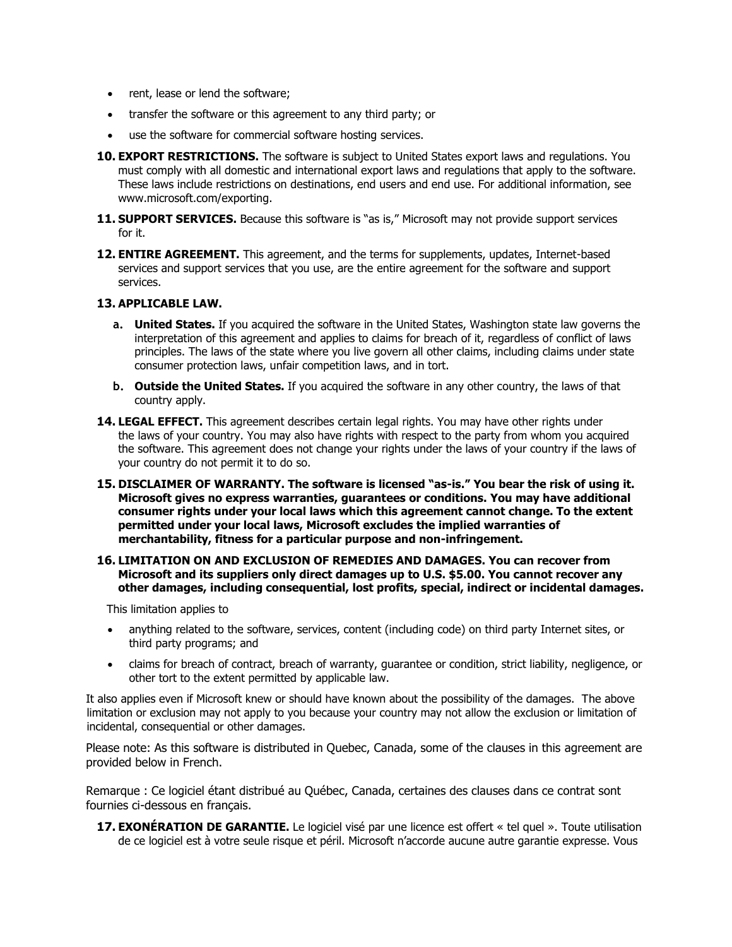- rent, lease or lend the software;
- transfer the software or this agreement to any third party; or
- use the software for commercial software hosting services.
- **10. EXPORT RESTRICTIONS.** The software is subject to United States export laws and regulations. You must comply with all domestic and international export laws and regulations that apply to the software. These laws include restrictions on destinations, end users and end use. For additional information, see www.microsoft.com/exporting.
- **11. SUPPORT SERVICES.** Because this software is "as is," Microsoft may not provide support services for it.
- **12. ENTIRE AGREEMENT.** This agreement, and the terms for supplements, updates, Internet-based services and support services that you use, are the entire agreement for the software and support services.

#### **13. APPLICABLE LAW.**

- **a. United States.** If you acquired the software in the United States, Washington state law governs the interpretation of this agreement and applies to claims for breach of it, regardless of conflict of laws principles. The laws of the state where you live govern all other claims, including claims under state consumer protection laws, unfair competition laws, and in tort.
- **b. Outside the United States.** If you acquired the software in any other country, the laws of that country apply.
- **14. LEGAL EFFECT.** This agreement describes certain legal rights. You may have other rights under the laws of your country. You may also have rights with respect to the party from whom you acquired the software. This agreement does not change your rights under the laws of your country if the laws of your country do not permit it to do so.
- **15. DISCLAIMER OF WARRANTY. The software is licensed "as-is." You bear the risk of using it. Microsoft gives no express warranties, guarantees or conditions. You may have additional consumer rights under your local laws which this agreement cannot change. To the extent permitted under your local laws, Microsoft excludes the implied warranties of merchantability, fitness for a particular purpose and non-infringement.**
- **16. LIMITATION ON AND EXCLUSION OF REMEDIES AND DAMAGES. You can recover from Microsoft and its suppliers only direct damages up to U.S. \$5.00. You cannot recover any other damages, including consequential, lost profits, special, indirect or incidental damages.**

This limitation applies to

- anything related to the software, services, content (including code) on third party Internet sites, or third party programs; and
- claims for breach of contract, breach of warranty, guarantee or condition, strict liability, negligence, or other tort to the extent permitted by applicable law.

It also applies even if Microsoft knew or should have known about the possibility of the damages. The above limitation or exclusion may not apply to you because your country may not allow the exclusion or limitation of incidental, consequential or other damages.

Please note: As this software is distributed in Quebec, Canada, some of the clauses in this agreement are provided below in French.

Remarque : Ce logiciel étant distribué au Québec, Canada, certaines des clauses dans ce contrat sont fournies ci-dessous en français.

**17. EXONÉRATION DE GARANTIE.** Le logiciel visé par une licence est offert « tel quel ». Toute utilisation de ce logiciel est à votre seule risque et péril. Microsoft n'accorde aucune autre garantie expresse. Vous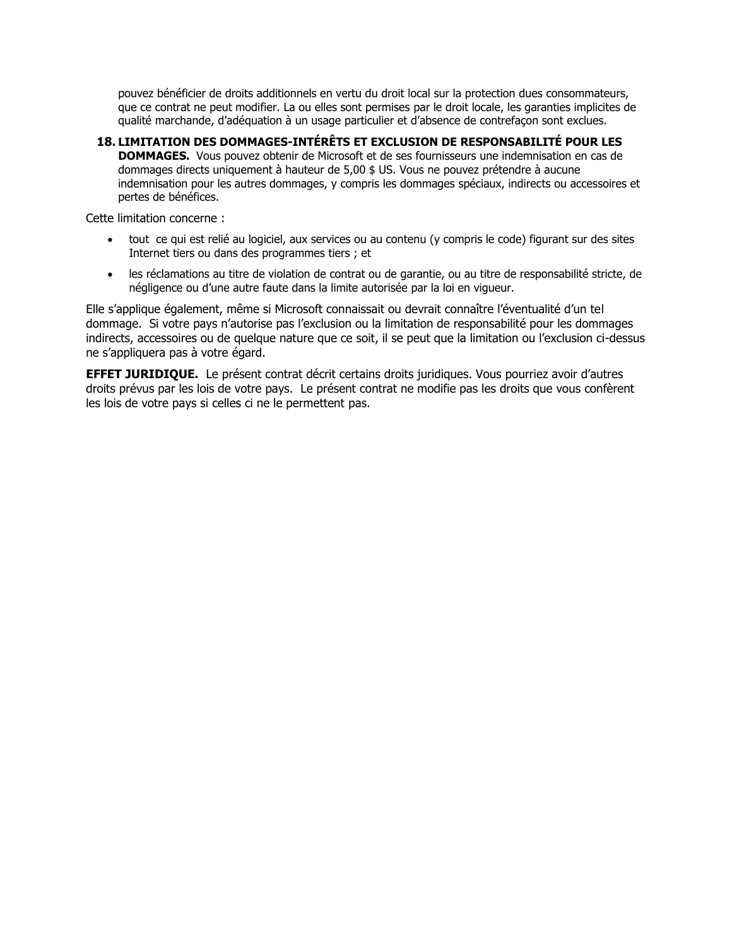pouvez bénéficier de droits additionnels en vertu du droit local sur la protection dues consommateurs, que ce contrat ne peut modifier. La ou elles sont permises par le droit locale, les garanties implicites de qualité marchande, d'adéquation à un usage particulier et d'absence de contrefaçon sont exclues.

**18. LIMITATION DES DOMMAGES-INTÉRÊTS ET EXCLUSION DE RESPONSABILITÉ POUR LES DOMMAGES.** Vous pouvez obtenir de Microsoft et de ses fournisseurs une indemnisation en cas de dommages directs uniquement à hauteur de 5,00 \$ US. Vous ne pouvez prétendre à aucune indemnisation pour les autres dommages, y compris les dommages spéciaux, indirects ou accessoires et pertes de bénéfices.

Cette limitation concerne :

- tout ce qui est relié au logiciel, aux services ou au contenu (y compris le code) figurant sur des sites Internet tiers ou dans des programmes tiers ; et
- les réclamations au titre de violation de contrat ou de garantie, ou au titre de responsabilité stricte, de négligence ou d'une autre faute dans la limite autorisée par la loi en vigueur.

Elle s'applique également, même si Microsoft connaissait ou devrait connaître l'éventualité d'un tel dommage. Si votre pays n'autorise pas l'exclusion ou la limitation de responsabilité pour les dommages indirects, accessoires ou de quelque nature que ce soit, il se peut que la limitation ou l'exclusion ci-dessus ne s'appliquera pas à votre égard.

**EFFET JURIDIQUE.** Le présent contrat décrit certains droits juridiques. Vous pourriez avoir d'autres droits prévus par les lois de votre pays. Le présent contrat ne modifie pas les droits que vous confèrent les lois de votre pays si celles ci ne le permettent pas.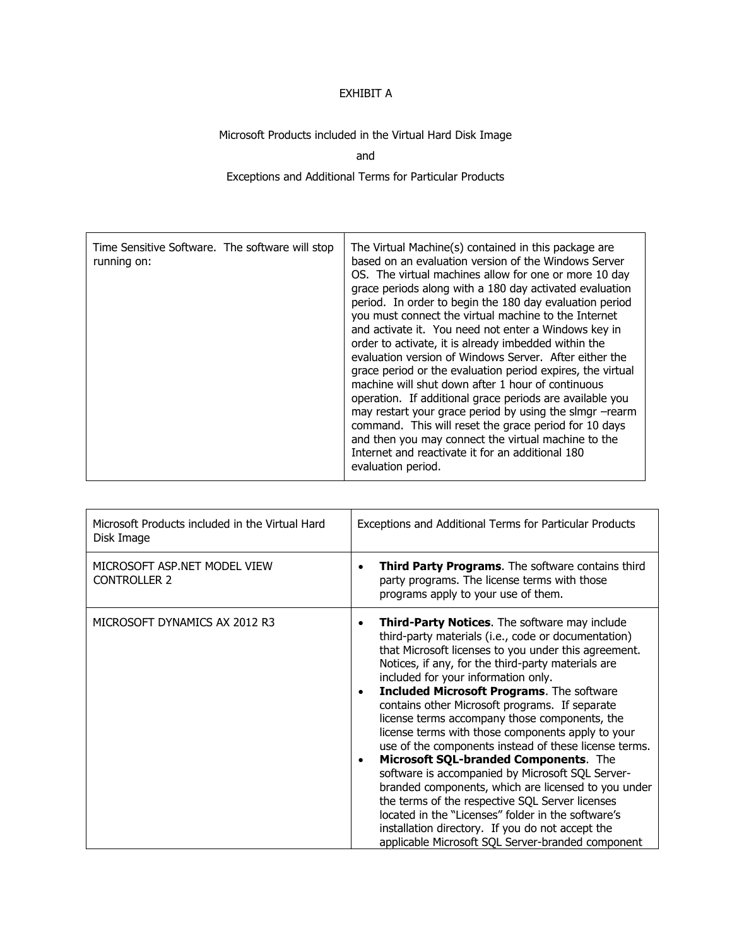### EXHIBIT A

## Microsoft Products included in the Virtual Hard Disk Image

and

### Exceptions and Additional Terms for Particular Products

| Time Sensitive Software. The software will stop<br>running on: | The Virtual Machine(s) contained in this package are<br>based on an evaluation version of the Windows Server<br>OS. The virtual machines allow for one or more 10 day<br>grace periods along with a 180 day activated evaluation<br>period. In order to begin the 180 day evaluation period<br>you must connect the virtual machine to the Internet<br>and activate it. You need not enter a Windows key in<br>order to activate, it is already imbedded within the<br>evaluation version of Windows Server. After either the<br>grace period or the evaluation period expires, the virtual<br>machine will shut down after 1 hour of continuous<br>operation. If additional grace periods are available you<br>may restart your grace period by using the slmgr -rearm<br>command. This will reset the grace period for 10 days<br>and then you may connect the virtual machine to the<br>Internet and reactivate it for an additional 180<br>evaluation period. |
|----------------------------------------------------------------|-------------------------------------------------------------------------------------------------------------------------------------------------------------------------------------------------------------------------------------------------------------------------------------------------------------------------------------------------------------------------------------------------------------------------------------------------------------------------------------------------------------------------------------------------------------------------------------------------------------------------------------------------------------------------------------------------------------------------------------------------------------------------------------------------------------------------------------------------------------------------------------------------------------------------------------------------------------------|
|----------------------------------------------------------------|-------------------------------------------------------------------------------------------------------------------------------------------------------------------------------------------------------------------------------------------------------------------------------------------------------------------------------------------------------------------------------------------------------------------------------------------------------------------------------------------------------------------------------------------------------------------------------------------------------------------------------------------------------------------------------------------------------------------------------------------------------------------------------------------------------------------------------------------------------------------------------------------------------------------------------------------------------------------|

| Microsoft Products included in the Virtual Hard<br>Disk Image | Exceptions and Additional Terms for Particular Products                                                                                                                                                                                                                                                                                                                                                                                                                                                                                                                                                                                                                                                                                                                                                                                                                                                                                     |
|---------------------------------------------------------------|---------------------------------------------------------------------------------------------------------------------------------------------------------------------------------------------------------------------------------------------------------------------------------------------------------------------------------------------------------------------------------------------------------------------------------------------------------------------------------------------------------------------------------------------------------------------------------------------------------------------------------------------------------------------------------------------------------------------------------------------------------------------------------------------------------------------------------------------------------------------------------------------------------------------------------------------|
| MICROSOFT ASP.NET MODEL VIEW<br><b>CONTROLLER 2</b>           | <b>Third Party Programs.</b> The software contains third<br>٠<br>party programs. The license terms with those<br>programs apply to your use of them.                                                                                                                                                                                                                                                                                                                                                                                                                                                                                                                                                                                                                                                                                                                                                                                        |
| MICROSOFT DYNAMICS AX 2012 R3                                 | Third-Party Notices. The software may include<br>$\bullet$<br>third-party materials (i.e., code or documentation)<br>that Microsoft licenses to you under this agreement.<br>Notices, if any, for the third-party materials are<br>included for your information only.<br><b>Included Microsoft Programs.</b> The software<br>$\bullet$<br>contains other Microsoft programs. If separate<br>license terms accompany those components, the<br>license terms with those components apply to your<br>use of the components instead of these license terms.<br>Microsoft SQL-branded Components. The<br>$\bullet$<br>software is accompanied by Microsoft SQL Server-<br>branded components, which are licensed to you under<br>the terms of the respective SQL Server licenses<br>located in the "Licenses" folder in the software's<br>installation directory. If you do not accept the<br>applicable Microsoft SQL Server-branded component |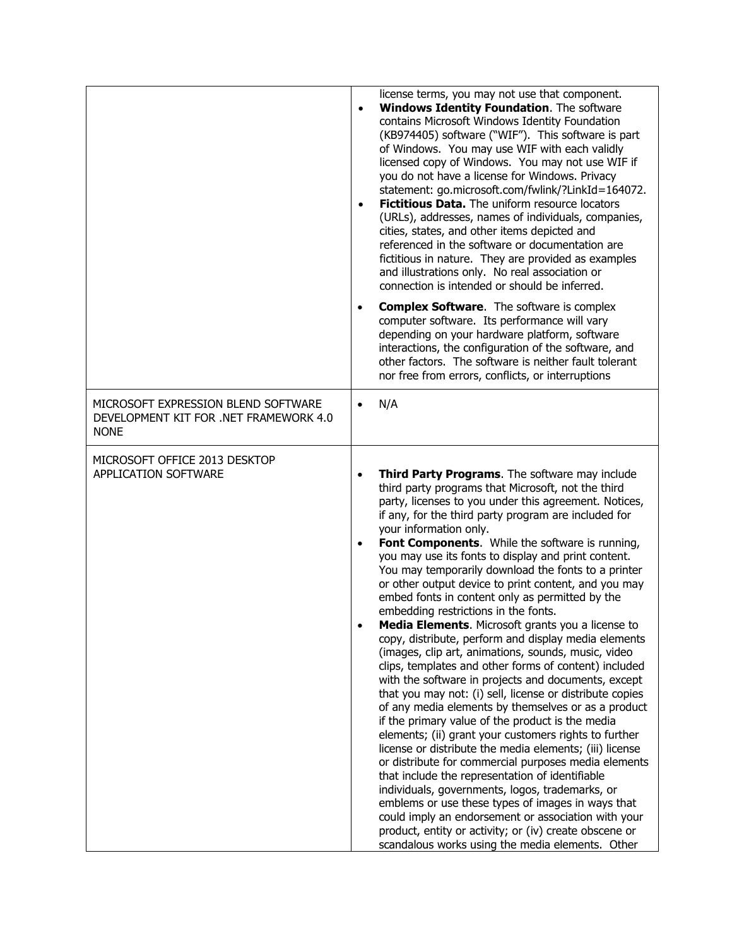|                                                                                              | license terms, you may not use that component.<br><b>Windows Identity Foundation.</b> The software<br>$\bullet$<br>contains Microsoft Windows Identity Foundation<br>(KB974405) software ("WIF"). This software is part<br>of Windows. You may use WIF with each validly<br>licensed copy of Windows. You may not use WIF if<br>you do not have a license for Windows. Privacy<br>statement: go.microsoft.com/fwlink/?LinkId=164072.<br>Fictitious Data. The uniform resource locators<br>$\bullet$<br>(URLs), addresses, names of individuals, companies,<br>cities, states, and other items depicted and<br>referenced in the software or documentation are<br>fictitious in nature. They are provided as examples<br>and illustrations only. No real association or<br>connection is intended or should be inferred.<br><b>Complex Software.</b> The software is complex<br>$\bullet$                                                                                                                                                                                                                                                                                                                                                                                                                                                                                                                                                                                                                                                                |
|----------------------------------------------------------------------------------------------|---------------------------------------------------------------------------------------------------------------------------------------------------------------------------------------------------------------------------------------------------------------------------------------------------------------------------------------------------------------------------------------------------------------------------------------------------------------------------------------------------------------------------------------------------------------------------------------------------------------------------------------------------------------------------------------------------------------------------------------------------------------------------------------------------------------------------------------------------------------------------------------------------------------------------------------------------------------------------------------------------------------------------------------------------------------------------------------------------------------------------------------------------------------------------------------------------------------------------------------------------------------------------------------------------------------------------------------------------------------------------------------------------------------------------------------------------------------------------------------------------------------------------------------------------------|
|                                                                                              | computer software. Its performance will vary<br>depending on your hardware platform, software<br>interactions, the configuration of the software, and<br>other factors. The software is neither fault tolerant<br>nor free from errors, conflicts, or interruptions                                                                                                                                                                                                                                                                                                                                                                                                                                                                                                                                                                                                                                                                                                                                                                                                                                                                                                                                                                                                                                                                                                                                                                                                                                                                                     |
| MICROSOFT EXPRESSION BLEND SOFTWARE<br>DEVELOPMENT KIT FOR .NET FRAMEWORK 4.0<br><b>NONE</b> | N/A<br>$\bullet$                                                                                                                                                                                                                                                                                                                                                                                                                                                                                                                                                                                                                                                                                                                                                                                                                                                                                                                                                                                                                                                                                                                                                                                                                                                                                                                                                                                                                                                                                                                                        |
| MICROSOFT OFFICE 2013 DESKTOP<br><b>APPLICATION SOFTWARE</b>                                 | Third Party Programs. The software may include<br>$\bullet$<br>third party programs that Microsoft, not the third<br>party, licenses to you under this agreement. Notices,<br>if any, for the third party program are included for<br>your information only.<br>Font Components. While the software is running,<br>you may use its fonts to display and print content.<br>You may temporarily download the fonts to a printer<br>or other output device to print content, and you may<br>embed fonts in content only as permitted by the<br>embedding restrictions in the fonts.<br>Media Elements. Microsoft grants you a license to<br>copy, distribute, perform and display media elements<br>(images, clip art, animations, sounds, music, video<br>clips, templates and other forms of content) included<br>with the software in projects and documents, except<br>that you may not: (i) sell, license or distribute copies<br>of any media elements by themselves or as a product<br>if the primary value of the product is the media<br>elements; (ii) grant your customers rights to further<br>license or distribute the media elements; (iii) license<br>or distribute for commercial purposes media elements<br>that include the representation of identifiable<br>individuals, governments, logos, trademarks, or<br>emblems or use these types of images in ways that<br>could imply an endorsement or association with your<br>product, entity or activity; or (iv) create obscene or<br>scandalous works using the media elements. Other |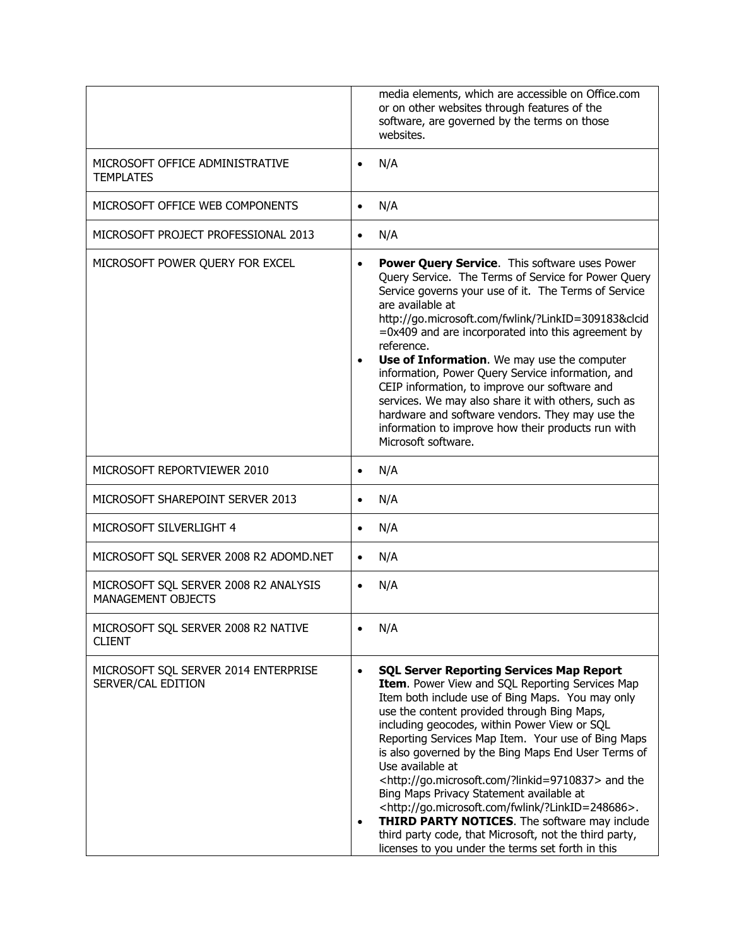|                                                             | media elements, which are accessible on Office.com<br>or on other websites through features of the<br>software, are governed by the terms on those<br>websites.                                                                                                                                                                                                                                                                                                                                                                                                                                                                                                                                                                                                                                           |
|-------------------------------------------------------------|-----------------------------------------------------------------------------------------------------------------------------------------------------------------------------------------------------------------------------------------------------------------------------------------------------------------------------------------------------------------------------------------------------------------------------------------------------------------------------------------------------------------------------------------------------------------------------------------------------------------------------------------------------------------------------------------------------------------------------------------------------------------------------------------------------------|
| MICROSOFT OFFICE ADMINISTRATIVE<br><b>TEMPLATES</b>         | N/A<br>$\bullet$                                                                                                                                                                                                                                                                                                                                                                                                                                                                                                                                                                                                                                                                                                                                                                                          |
| MICROSOFT OFFICE WEB COMPONENTS                             | N/A<br>$\bullet$                                                                                                                                                                                                                                                                                                                                                                                                                                                                                                                                                                                                                                                                                                                                                                                          |
| MICROSOFT PROJECT PROFESSIONAL 2013                         | N/A<br>$\bullet$                                                                                                                                                                                                                                                                                                                                                                                                                                                                                                                                                                                                                                                                                                                                                                                          |
| MICROSOFT POWER QUERY FOR EXCEL                             | <b>Power Query Service.</b> This software uses Power<br>$\bullet$<br>Query Service. The Terms of Service for Power Query<br>Service governs your use of it. The Terms of Service<br>are available at<br>http://go.microsoft.com/fwlink/?LinkID=309183&clcid<br>=0x409 and are incorporated into this agreement by<br>reference.<br>Use of Information. We may use the computer<br>$\bullet$<br>information, Power Query Service information, and<br>CEIP information, to improve our software and<br>services. We may also share it with others, such as<br>hardware and software vendors. They may use the<br>information to improve how their products run with<br>Microsoft software.                                                                                                                  |
| MICROSOFT REPORTVIEWER 2010                                 | N/A<br>$\bullet$                                                                                                                                                                                                                                                                                                                                                                                                                                                                                                                                                                                                                                                                                                                                                                                          |
| MICROSOFT SHAREPOINT SERVER 2013                            | N/A                                                                                                                                                                                                                                                                                                                                                                                                                                                                                                                                                                                                                                                                                                                                                                                                       |
| MICROSOFT SILVERLIGHT 4                                     | N/A<br>$\bullet$                                                                                                                                                                                                                                                                                                                                                                                                                                                                                                                                                                                                                                                                                                                                                                                          |
| MICROSOFT SQL SERVER 2008 R2 ADOMD.NET                      | N/A                                                                                                                                                                                                                                                                                                                                                                                                                                                                                                                                                                                                                                                                                                                                                                                                       |
| MICROSOFT SQL SERVER 2008 R2 ANALYSIS<br>MANAGEMENT OBJECTS | N/A                                                                                                                                                                                                                                                                                                                                                                                                                                                                                                                                                                                                                                                                                                                                                                                                       |
| MICROSOFT SQL SERVER 2008 R2 NATIVE<br><b>CLIENT</b>        | N/A                                                                                                                                                                                                                                                                                                                                                                                                                                                                                                                                                                                                                                                                                                                                                                                                       |
| MICROSOFT SQL SERVER 2014 ENTERPRISE<br>SERVER/CAL EDITION  | <b>SQL Server Reporting Services Map Report</b><br>$\bullet$<br>Item. Power View and SQL Reporting Services Map<br>Item both include use of Bing Maps. You may only<br>use the content provided through Bing Maps,<br>including geocodes, within Power View or SQL<br>Reporting Services Map Item. Your use of Bing Maps<br>is also governed by the Bing Maps End User Terms of<br>Use available at<br><http: ?linkid="9710837" go.microsoft.com=""> and the<br/>Bing Maps Privacy Statement available at<br/><http: ?linkid="248686" fwlink="" go.microsoft.com="">.<br/><b>THIRD PARTY NOTICES.</b> The software may include<br/><math display="inline">\bullet</math><br/>third party code, that Microsoft, not the third party,<br/>licenses to you under the terms set forth in this</http:></http:> |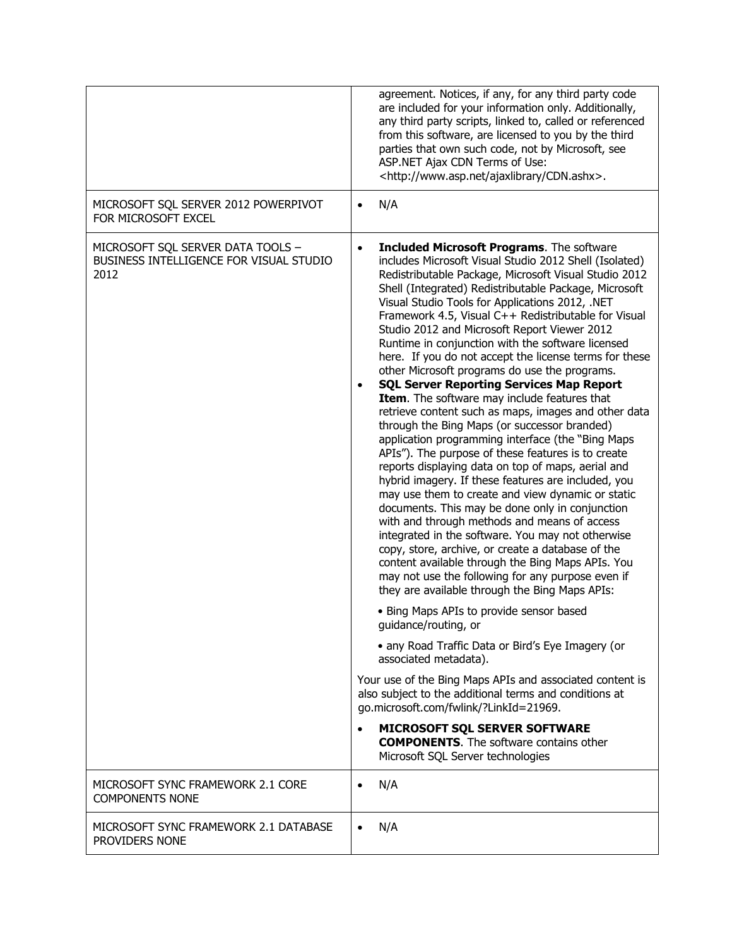|                                                                                      | agreement. Notices, if any, for any third party code<br>are included for your information only. Additionally,<br>any third party scripts, linked to, called or referenced<br>from this software, are licensed to you by the third<br>parties that own such code, not by Microsoft, see<br>ASP.NET Ajax CDN Terms of Use:<br><http: ajaxlibrary="" cdn.ashx="" www.asp.net="">.</http:>                                                                                                                                                                                                                                                                                                                                                                                                                                                                                                                                                                                                                                                                                                                                                                                                                                                                                                                                                                                                                                                                                                                                                                                                                                                                                                                                                                                                                                                                                          |
|--------------------------------------------------------------------------------------|---------------------------------------------------------------------------------------------------------------------------------------------------------------------------------------------------------------------------------------------------------------------------------------------------------------------------------------------------------------------------------------------------------------------------------------------------------------------------------------------------------------------------------------------------------------------------------------------------------------------------------------------------------------------------------------------------------------------------------------------------------------------------------------------------------------------------------------------------------------------------------------------------------------------------------------------------------------------------------------------------------------------------------------------------------------------------------------------------------------------------------------------------------------------------------------------------------------------------------------------------------------------------------------------------------------------------------------------------------------------------------------------------------------------------------------------------------------------------------------------------------------------------------------------------------------------------------------------------------------------------------------------------------------------------------------------------------------------------------------------------------------------------------------------------------------------------------------------------------------------------------|
| MICROSOFT SQL SERVER 2012 POWERPIVOT<br>FOR MICROSOFT EXCEL                          | N/A                                                                                                                                                                                                                                                                                                                                                                                                                                                                                                                                                                                                                                                                                                                                                                                                                                                                                                                                                                                                                                                                                                                                                                                                                                                                                                                                                                                                                                                                                                                                                                                                                                                                                                                                                                                                                                                                             |
| MICROSOFT SQL SERVER DATA TOOLS -<br>BUSINESS INTELLIGENCE FOR VISUAL STUDIO<br>2012 | <b>Included Microsoft Programs.</b> The software<br>$\bullet$<br>includes Microsoft Visual Studio 2012 Shell (Isolated)<br>Redistributable Package, Microsoft Visual Studio 2012<br>Shell (Integrated) Redistributable Package, Microsoft<br>Visual Studio Tools for Applications 2012, .NET<br>Framework 4.5, Visual C++ Redistributable for Visual<br>Studio 2012 and Microsoft Report Viewer 2012<br>Runtime in conjunction with the software licensed<br>here. If you do not accept the license terms for these<br>other Microsoft programs do use the programs.<br><b>SQL Server Reporting Services Map Report</b><br>Item. The software may include features that<br>retrieve content such as maps, images and other data<br>through the Bing Maps (or successor branded)<br>application programming interface (the "Bing Maps<br>APIs"). The purpose of these features is to create<br>reports displaying data on top of maps, aerial and<br>hybrid imagery. If these features are included, you<br>may use them to create and view dynamic or static<br>documents. This may be done only in conjunction<br>with and through methods and means of access<br>integrated in the software. You may not otherwise<br>copy, store, archive, or create a database of the<br>content available through the Bing Maps APIs. You<br>may not use the following for any purpose even if<br>they are available through the Bing Maps APIs:<br>• Bing Maps APIs to provide sensor based<br>guidance/routing, or<br>• any Road Traffic Data or Bird's Eye Imagery (or<br>associated metadata).<br>Your use of the Bing Maps APIs and associated content is<br>also subject to the additional terms and conditions at<br>go.microsoft.com/fwlink/?LinkId=21969.<br>MICROSOFT SQL SERVER SOFTWARE<br><b>COMPONENTS.</b> The software contains other<br>Microsoft SQL Server technologies |
| MICROSOFT SYNC FRAMEWORK 2.1 CORE<br><b>COMPONENTS NONE</b>                          | N/A<br>$\bullet$                                                                                                                                                                                                                                                                                                                                                                                                                                                                                                                                                                                                                                                                                                                                                                                                                                                                                                                                                                                                                                                                                                                                                                                                                                                                                                                                                                                                                                                                                                                                                                                                                                                                                                                                                                                                                                                                |
| MICROSOFT SYNC FRAMEWORK 2.1 DATABASE<br>PROVIDERS NONE                              | N/A                                                                                                                                                                                                                                                                                                                                                                                                                                                                                                                                                                                                                                                                                                                                                                                                                                                                                                                                                                                                                                                                                                                                                                                                                                                                                                                                                                                                                                                                                                                                                                                                                                                                                                                                                                                                                                                                             |